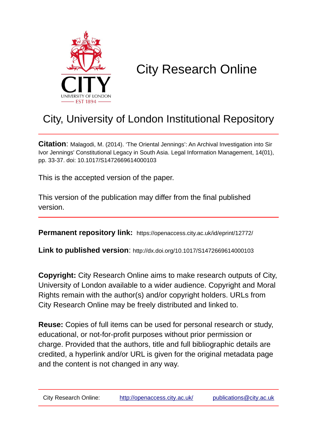

# City Research Online

# City, University of London Institutional Repository

**Citation**: Malagodi, M. (2014). 'The Oriental Jennings': An Archival Investigation into Sir Ivor Jennings' Constitutional Legacy in South Asia. Legal Information Management, 14(01), pp. 33-37. doi: 10.1017/S1472669614000103

This is the accepted version of the paper.

This version of the publication may differ from the final published version.

**Permanent repository link:** https://openaccess.city.ac.uk/id/eprint/12772/

**Link to published version**: http://dx.doi.org/10.1017/S1472669614000103

**Copyright:** City Research Online aims to make research outputs of City, University of London available to a wider audience. Copyright and Moral Rights remain with the author(s) and/or copyright holders. URLs from City Research Online may be freely distributed and linked to.

**Reuse:** Copies of full items can be used for personal research or study, educational, or not-for-profit purposes without prior permission or charge. Provided that the authors, title and full bibliographic details are credited, a hyperlink and/or URL is given for the original metadata page and the content is not changed in any way.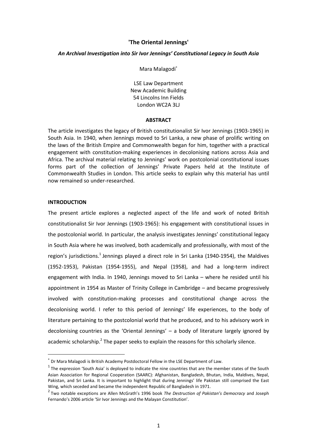# **'The Oriental Jennings'**

#### *An Archival Investigation into Sir Ivor Jennings' Constitutional Legacy in South Asia*

Mara Malagodi<sup>∗</sup>

LSE Law Department New Academic Building 54 Lincolns Inn Fields London WC2A 3LJ

### **ABSTRACT**

The article investigates the legacy of British constitutionalist Sir Ivor Jennings (1903-1965) in South Asia. In 1940, when Jennings moved to Sri Lanka, a new phase of prolific writing on the laws of the British Empire and Commonwealth began for him, together with a practical engagement with constitution-making experiences in decolonising nations across Asia and Africa. The archival material relating to Jennings' work on postcolonial constitutional issues forms part of the collection of Jennings' Private Papers held at the Institute of Commonwealth Studies in London. This article seeks to explain why this material has until now remained so under-researched.

# **INTRODUCTION**

 $\overline{a}$ 

The present article explores a neglected aspect of the life and work of noted British constitutionalist Sir Ivor Jennings (1903-1965): his engagement with constitutional issues in the postcolonial world. In particular, the analysis investigates Jennings' constitutional legacy in South Asia where he was involved, both academically and professionally, with most of the region's jurisdictions.<sup>1</sup> Jennings played a direct role in Sri Lanka (1940-1954), the Maldives (1952-1953), Pakistan (1954-1955), and Nepal (1958), and had a long-term indirect engagement with India. In 1940, Jennings moved to Sri Lanka – where he resided until his appointment in 1954 as Master of Trinity College in Cambridge – and became progressively involved with constitution-making processes and constitutional change across the decolonising world. I refer to this period of Jennings' life experiences, to the body of literature pertaining to the postcolonial world that he produced, and to his advisory work in decolonising countries as the 'Oriental Jennings'  $-$  a body of literature largely ignored by academic scholarship.<sup>2</sup> The paper seeks to explain the reasons for this scholarly silence.

<sup>∗</sup> Dr Mara Malagodi is British Academy Postdoctoral Fellow in the LSE Department of Law.

 $<sup>1</sup>$  The expression 'South Asia' is deployed to indicate the nine countries that are the member states of the South</sup> Asian Association for Regional Cooperation (SAARC): Afghanistan, Bangladesh, Bhutan, India, Maldives, Nepal, Pakistan, and Sri Lanka. It is important to highlight that during Jennings' life Pakistan still comprised the East Wing, which seceded and became the independent Republic of Bangladesh in 1971.

<sup>2</sup> Two notable exceptions are Allen McGrath's 1996 book *The Destruction of Pakistan's Democracy* and Joseph Fernando's 2006 article 'Sir Ivor Jennings and the Malayan Constitution'.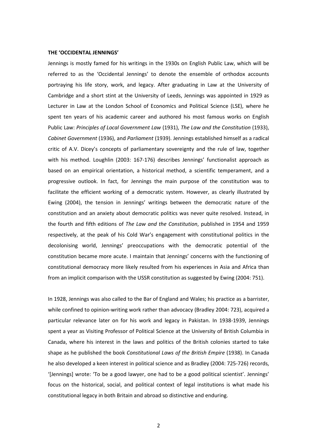#### **THE 'OCCIDENTAL JENNINGS'**

Jennings is mostly famed for his writings in the 1930s on English Public Law, which will be referred to as the 'Occidental Jennings' to denote the ensemble of orthodox accounts portraying his life story, work, and legacy. After graduating in Law at the University of Cambridge and a short stint at the University of Leeds, Jennings was appointed in 1929 as Lecturer in Law at the London School of Economics and Political Science (LSE), where he spent ten years of his academic career and authored his most famous works on English Public Law: *Principles of Local Government Law* (1931), *The Law and the Constitution* (1933), *Cabinet Government* (1936), and *Parliament* (1939). Jennings established himself as a radical critic of A.V. Dicey's concepts of parliamentary sovereignty and the rule of law, together with his method. Loughlin (2003: 167-176) describes Jennings' functionalist approach as based on an empirical orientation, a historical method, a scientific temperament, and a progressive outlook. In fact, for Jennings the main purpose of the constitution was to facilitate the efficient working of a democratic system. However, as clearly illustrated by Ewing (2004), the tension in Jennings' writings between the democratic nature of the constitution and an anxiety about democratic politics was never quite resolved. Instead, in the fourth and fifth editions of *The Law and the Constitution*, published in 1954 and 1959 respectively, at the peak of his Cold War's engagement with constitutional politics in the decolonising world, Jennings' preoccupations with the democratic potential of the constitution became more acute. I maintain that Jennings' concerns with the functioning of constitutional democracy more likely resulted from his experiences in Asia and Africa than from an implicit comparison with the USSR constitution as suggested by Ewing (2004: 751).

In 1928, Jennings was also called to the Bar of England and Wales; his practice as a barrister, while confined to opinion-writing work rather than advocacy (Bradley 2004: 723), acquired a particular relevance later on for his work and legacy in Pakistan. In 1938-1939, Jennings spent a year as Visiting Professor of Political Science at the University of British Columbia in Canada, where his interest in the laws and politics of the British colonies started to take shape as he published the book *Constitutional Laws of the British Empire* (1938). In Canada he also developed a keen interest in political science and as Bradley (2004: 725-726) records, '[Jennings] wrote: 'To be a good lawyer, one had to be a good political scientist'. Jennings' focus on the historical, social, and political context of legal institutions is what made his constitutional legacy in both Britain and abroad so distinctive and enduring.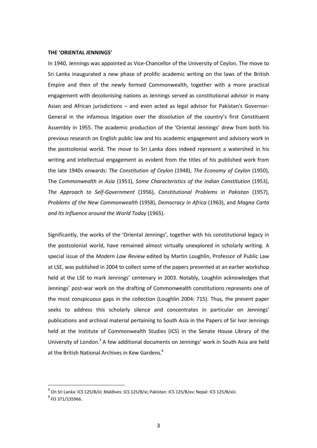#### **THE 'ORIENTAL JENNINGS'**

In 1940, Jennings was appointed as Vice-Chancellor of the University of Ceylon. The move to Sri Lanka inaugurated a new phase of prolific academic writing on the laws of the British Empire and then of the newly formed Commonwealth, together with a more practical engagement with decolonising nations as Jennings served as constitutional advisor in many Asian and African jurisdictions – and even acted as legal advisor for Pakistan's Governor-General in the infamous litigation over the dissolution of the country's first Constituent Assembly in 1955. The academic production of the 'Oriental Jennings' drew from both his previous research on English public law and his academic engagement and advisory work in the postcolonial world. The move to Sri Lanka does indeed represent a watershed in his writing and intellectual engagement as evident from the titles of his published work from the late 1940s onwards: *The Constitution of Ceylon* (1948), *The Economy of Ceylon* (1950), The *Commonwealth in Asia* (1951), *Some Characteristics of the Indian Constitution* (1953), *The Approach to Self-Government* (1956), *Constitutional Problems in Pakistan* (1957), *Problems of the New Commonwealth* (1958), *Democracy in Africa* (1963), and *Magna Carta and Its Influence around the World Today* (1965).

Significantly, the works of the 'Oriental Jennings', together with his constitutional legacy in the postcolonial world, have remained almost virtually unexplored in scholarly writing. A special issue of the *Modern Law Review* edited by Martin Loughlin, Professor of Public Law at LSE, was published in 2004 to collect some of the papers presented at an earlier workshop held at the LSE to mark Jennings' centenary in 2003. Notably, Loughlin acknowledges that Jennings' post-war work on the drafting of Commonwealth constitutions represents one of the most conspicuous gaps in the collection (Loughlin 2004: 715). Thus, the present paper seeks to address this scholarly silence and concentrates in particular on Jennings' publications and archival material pertaining to South Asia in the Papers of Sir Ivor Jennings held at the Institute of Commonwealth Studies (ICS) in the Senate House Library of the University of London.<sup>3</sup> A few additional documents on Jennings' work in South Asia are held at the British National Archives in Kew Gardens.<sup>4</sup>

 $^3$  On Sri Lanka: ICS 125/B/iii; Maldives: ICS 125/B/xi; Pakistan: ICS 125/B/xv; Nepal: ICS 125/B/xiii.

 $^4$  FO 371/135966.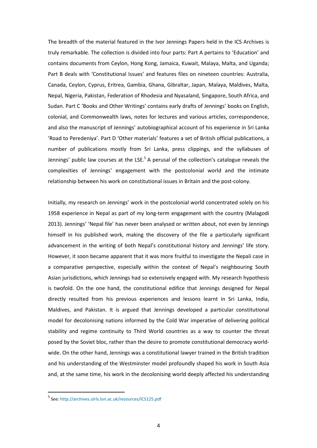The breadth of the material featured in the Ivor Jennings Papers held in the ICS Archives is truly remarkable. The collection is divided into four parts: Part A pertains to 'Education' and contains documents from Ceylon, Hong Kong, Jamaica, Kuwait, Malaya, Malta, and Uganda; Part B deals with 'Constitutional Issues' and features files on nineteen countries: Australia, Canada, Ceylon, Cyprus, Eritrea, Gambia, Ghana, Gibraltar, Japan, Malaya, Maldives, Malta, Nepal, Nigeria, Pakistan, Federation of Rhodesia and Nyasaland, Singapore, South Africa, and Sudan. Part C 'Books and Other Writings' contains early drafts of Jennings' books on English, colonial, and Commonwealth laws, notes for lectures and various articles, correspondence, and also the manuscript of Jennings' autobiographical account of his experience in Sri Lanka 'Road to Peredeniya'. Part D 'Other materials' features a set of British official publications, a number of publications mostly from Sri Lanka, press clippings, and the syllabuses of Jennings' public law courses at the LSE.<sup>5</sup> A perusal of the collection's catalogue reveals the complexities of Jennings' engagement with the postcolonial world and the intimate relationship between his work on constitutional issues in Britain and the post-colony.

Initially, my research on Jennings' work in the postcolonial world concentrated solely on his 1958 experience in Nepal as part of my long-term engagement with the country (Malagodi 2013). Jennings' 'Nepal file' has never been analysed or written about, not even by Jennings himself in his published work, making the discovery of the file a particularly significant advancement in the writing of both Nepal's constitutional history and Jennings' life story. However, it soon became apparent that it was more fruitful to investigate the Nepali case in a comparative perspective, especially within the context of Nepal's neighbouring South Asian jurisdictions, which Jennings had so extensively engaged with. My research hypothesis is twofold. On the one hand, the constitutional edifice that Jennings designed for Nepal directly resulted from his previous experiences and lessons learnt in Sri Lanka, India, Maldives, and Pakistan. It is argued that Jennings developed a particular constitutional model for decolonising nations informed by the Cold War imperative of delivering political stability and regime continuity to Third World countries as a way to counter the threat posed by the Soviet bloc, rather than the desire to promote constitutional democracy worldwide. On the other hand, Jennings was a constitutional lawyer trained in the British tradition and his understanding of the Westminster model profoundly shaped his work in South Asia and, at the same time, his work in the decolonising world deeply affected his understanding

<sup>&</sup>lt;sup>5</sup> See: [http://archives.ulrls.lon.ac.uk/resources/ICS125.pdf](http://archives.ulrls.lon.ac.uk/resources/ics125.pdf)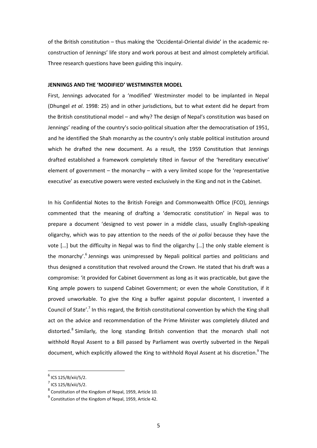of the British constitution – thus making the 'Occidental-Oriental divide' in the academic reconstruction of Jennings' life story and work porous at best and almost completely artificial. Three research questions have been guiding this inquiry.

# **JENNINGS AND THE 'MODIFIED' WESTMINSTER MODEL**

First, Jennings advocated for a 'modified' Westminster model to be implanted in Nepal (Dhungel *et al*. 1998: 25) and in other jurisdictions, but to what extent did he depart from the British constitutional model – and why? The design of Nepal's constitution was based on Jennings' reading of the country's socio-political situation after the democratisation of 1951, and he identified the Shah monarchy as the country's only stable political institution around which he drafted the new document. As a result, the 1959 Constitution that Jennings drafted established a framework completely tilted in favour of the 'hereditary executive' element of government – the monarchy – with a very limited scope for the 'representative executive' as executive powers were vested exclusively in the King and not in the Cabinet.

In his Confidential Notes to the British Foreign and Commonwealth Office (FCO), Jennings commented that the meaning of drafting a 'democratic constitution' in Nepal was to prepare a document 'designed to vest power in a middle class, usually English-speaking oligarchy, which was to pay attention to the needs of the *oi polloi* because they have the vote […] but the difficulty in Nepal was to find the oligarchy […] the only stable element is the monarchy'.<sup>6</sup> Jennings was unimpressed by Nepali political parties and politicians and thus designed a constitution that revolved around the Crown. He stated that his draft was a compromise: 'it provided for Cabinet Government as long as it was practicable, but gave the King ample powers to suspend Cabinet Government; or even the whole Constitution, if it proved unworkable. To give the King a buffer against popular discontent, I invented a Council of State'.<sup>7</sup> In this regard, the British constitutional convention by which the King shall act on the advice and recommendation of the Prime Minister was completely diluted and distorted.<sup>8</sup> Similarly, the long standing British convention that the monarch shall not withhold Royal Assent to a Bill passed by Parliament was overtly subverted in the Nepali document, which explicitly allowed the King to withhold Royal Assent at his discretion.<sup>9</sup> The

<sup>&</sup>lt;sup>6</sup> ICS 125/B/xiii/5/2.

 $<sup>7</sup>$  ICS 125/B/xiii/5/2.</sup>

 $^8$  Constitution of the Kingdom of Nepal, 1959, Article 10.

 $^{9}$  Constitution of the Kingdom of Nepal, 1959, Article 42.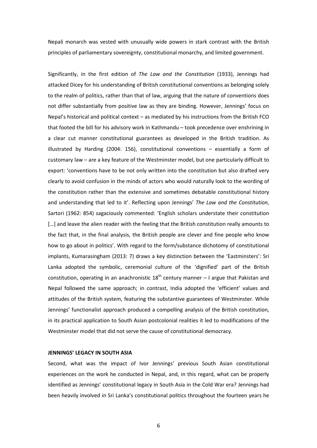Nepali monarch was vested with unusually wide powers in stark contrast with the British principles of parliamentary sovereignty, constitutional monarchy, and limited government.

Significantly, in the first edition of *The Law and the Constitution* (1933), Jennings had attacked Dicey for his understanding of British constitutional conventions as belonging solely to the realm of politics, rather than that of law, arguing that the nature of conventions does not differ substantially from positive law as they are binding. However, Jennings' focus on Nepal's historical and political context – as mediated by his instructions from the British FCO that footed the bill for his advisory work in Kathmandu – took precedence over enshrining in a clear cut manner constitutional guarantees as developed in the British tradition. As illustrated by Harding (2004: 156), constitutional conventions – essentially a form of customary law – are a key feature of the Westminster model, but one particularly difficult to export: 'conventions have to be not only written into the constitution but also drafted very clearly to avoid confusion in the minds of actors who would naturally look to the wording of the constitution rather than the extensive and sometimes debatable constitutional history and understanding that led to it'. Reflecting upon Jennings' *The Law and the Constitution*, Sartori (1962: 854) sagaciously commented: 'English scholars understate their constitution [...] and leave the alien reader with the feeling that the British constitution really amounts to the fact that, in the final analysis, the British people are clever and fine people who know how to go about in politics'. With regard to the form/substance dichotomy of constitutional implants, Kumarasingham (2013: 7) draws a key distinction between the 'Eastminsters': Sri Lanka adopted the symbolic, ceremonial culture of the 'dignified' part of the British constitution, operating in an anachronistic  $18<sup>th</sup>$  century manner – I argue that Pakistan and Nepal followed the same approach; in contrast, India adopted the 'efficient' values and attitudes of the British system, featuring the substantive guarantees of Westminster. While Jennings' functionalist approach produced a compelling analysis of the British constitution, in its practical application to South Asian postcolonial realities it led to modifications of the Westminster model that did not serve the cause of constitutional democracy.

# **JENNINGS' LEGACY IN SOUTH ASIA**

Second, what was the impact of Ivor Jennings' previous South Asian constitutional experiences on the work he conducted in Nepal, and, in this regard, what can be properly identified as Jennings' constitutional legacy in South Asia in the Cold War era? Jennings had been heavily involved in Sri Lanka's constitutional politics throughout the fourteen years he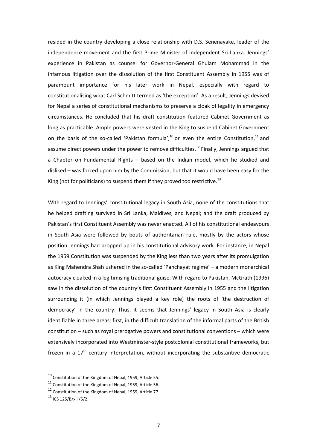resided in the country developing a close relationship with D.S. Senenayake, leader of the independence movement and the first Prime Minister of independent Sri Lanka. Jennings' experience in Pakistan as counsel for Governor-General Ghulam Mohammad in the infamous litigation over the dissolution of the first Constituent Assembly in 1955 was of paramount importance for his later work in Nepal, especially with regard to constitutionalising what Carl Schmitt termed as 'the exception'. As a result, Jennings devised for Nepal a series of constitutional mechanisms to preserve a cloak of legality in emergency circumstances. He concluded that his draft constitution featured Cabinet Government as long as practicable. Ample powers were vested in the King to suspend Cabinet Government on the basis of the so-called 'Pakistan formula',<sup>10</sup> or even the entire Constitution,<sup>11</sup> and assume direct powers under the power to remove difficulties.<sup>12</sup> Finally, Jennings argued that a Chapter on Fundamental Rights – based on the Indian model, which he studied and disliked – was forced upon him by the Commission, but that it would have been easy for the King (not for politicians) to suspend them if they proved too restrictive. $^{13}$ 

With regard to Jennings' constitutional legacy in South Asia, none of the constitutions that he helped drafting survived in Sri Lanka, Maldives, and Nepal; and the draft produced by Pakistan's first Constituent Assembly was never enacted. All of his constitutional endeavours in South Asia were followed by bouts of authoritarian rule, mostly by the actors whose position Jennings had propped up in his constitutional advisory work. For instance, in Nepal the 1959 Constitution was suspended by the King less than two years after its promulgation as King Mahendra Shah ushered in the so-called 'Panchayat regime' – a modern monarchical autocracy cloaked in a legitimising traditional guise. With regard to Pakistan, McGrath (1996) saw in the dissolution of the country's first Constituent Assembly in 1955 and the litigation surrounding it (in which Jennings played a key role) the roots of 'the destruction of democracy' in the country. Thus, it seems that Jennings' legacy in South Asia is clearly identifiable in three areas: first, in the difficult translation of the informal parts of the British constitution – such as royal prerogative powers and constitutional conventions – which were extensively incorporated into Westminster-style postcolonial constitutional frameworks, but frozen in a  $17<sup>th</sup>$  century interpretation, without incorporating the substantive democratic

<sup>10</sup> Constitution of the Kingdom of Nepal, 1959, Article 55.

<sup>&</sup>lt;sup>11</sup> Constitution of the Kingdom of Nepal, 1959, Article 56.

<sup>&</sup>lt;sup>12</sup> Constitution of the Kingdom of Nepal, 1959, Article 77.

<sup>13</sup> ICS 125/B/xiii/5/2.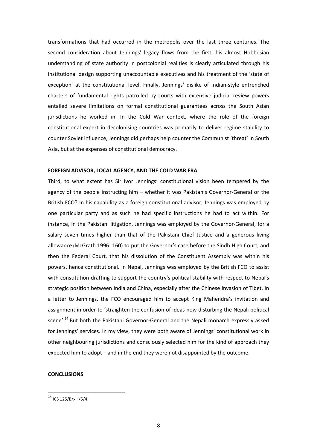transformations that had occurred in the metropolis over the last three centuries. The second consideration about Jennings' legacy flows from the first: his almost Hobbesian understanding of state authority in postcolonial realities is clearly articulated through his institutional design supporting unaccountable executives and his treatment of the 'state of exception' at the constitutional level. Finally, Jennings' dislike of Indian-style entrenched charters of fundamental rights patrolled by courts with extensive judicial review powers entailed severe limitations on formal constitutional guarantees across the South Asian jurisdictions he worked in. In the Cold War context, where the role of the foreign constitutional expert in decolonising countries was primarily to deliver regime stability to counter Soviet influence, Jennings did perhaps help counter the Communist 'threat' in South Asia, but at the expenses of constitutional democracy.

#### **FOREIGN ADVISOR, LOCAL AGENCY, AND THE COLD WAR ERA**

Third, to what extent has Sir Ivor Jennings' constitutional vision been tempered by the agency of the people instructing him – whether it was Pakistan's Governor-General or the British FCO? In his capability as a foreign constitutional advisor, Jennings was employed by one particular party and as such he had specific instructions he had to act within. For instance, in the Pakistani litigation, Jennings was employed by the Governor-General, for a salary seven times higher than that of the Pakistani Chief Justice and a generous living allowance (McGrath 1996: 160) to put the Governor's case before the Sindh High Court, and then the Federal Court, that his dissolution of the Constituent Assembly was within his powers, hence constitutional. In Nepal, Jennings was employed by the British FCO to assist with constitution-drafting to support the country's political stability with respect to Nepal's strategic position between India and China, especially after the Chinese invasion of Tibet. In a letter to Jennings, the FCO encouraged him to accept King Mahendra's invitation and assignment in order to 'straighten the confusion of ideas now disturbing the Nepali political scene'.<sup>14</sup> But both the Pakistani Governor-General and the Nepali monarch expressly asked for Jennings' services. In my view, they were both aware of Jennings' constitutional work in other neighbouring jurisdictions and consciously selected him for the kind of approach they expected him to adopt – and in the end they were not disappointed by the outcome.

## **CONCLUSIONS**

<sup>14</sup> ICS 125/B/xiii/5/4.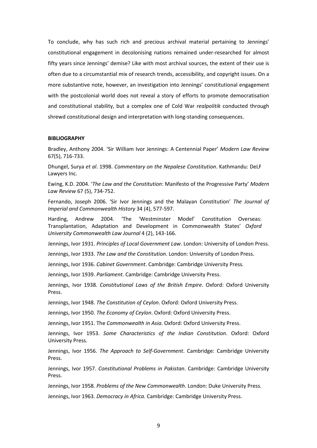To conclude, why has such rich and precious archival material pertaining to Jennings' constitutional engagement in decolonising nations remained under-researched for almost fifty years since Jennings' demise? Like with most archival sources, the extent of their use is often due to a circumstantial mix of research trends, accessibility, and copyright issues. On a more substantive note, however, an investigation into Jennings' constitutional engagement with the postcolonial world does not reveal a story of efforts to promote democratisation and constitutional stability, but a complex one of Cold War *realpolitik* conducted through shrewd constitutional design and interpretation with long-standing consequences.

#### **BIBLIOGRAPHY**

Bradley, Anthony 2004. 'Sir William Ivor Jennings: A Centennial Paper' *Modern Law Review* 67(5), 716-733.

Dhungel, Surya *et al*. 1998. *Commentary on the Nepalese Constitution*. Kathmandu: DeLF Lawyers Inc.

Ewing, K.D. 2004. '*The Law and the Constitution*: Manifesto of the Progressive Party' *Modern Law Review* 67 (5), 734-752.

Fernando, Joseph 2006. 'Sir Ivor Jennings and the Malayan Constitution' *The Journal of Imperial and Commonwealth History* 34 (4), 577-597.

Harding, Andrew 2004. 'The 'Westminster Model' Constitution Overseas: Transplantation, Adaptation and Development in Commonwealth States' *Oxford University Commonwealth Law Journal* 4 (2), 143-166.

Jennings, Ivor 1931. *Principles of Local Government Law*. London: University of London Press.

Jennings, Ivor 1933. *The Law and the Constitution*. London: University of London Press.

Jennings, Ivor 1936. *Cabinet Government*. Cambridge: Cambridge University Press.

Jennings, Ivor 1939. *Parliament*. Cambridge: Cambridge University Press.

Jennings, Ivor 1938. *Constitutional Laws of the British Empire*. Oxford: Oxford University Press.

Jennings, Ivor 1948. *The Constitution of Ceylon*. Oxford: Oxford University Press.

Jennings, Ivor 1950. *The Economy of Ceylon*. Oxford: Oxford University Press.

Jennings, Ivor 1951. The *Commonwealth in Asia*. Oxford: Oxford University Press.

Jennings, Ivor 1953. *Some Characteristics of the Indian Constitution*. Oxford: Oxford University Press.

Jennings, Ivor 1956. *The Approach to Self-Government*. Cambridge: Cambridge University Press.

Jennings, Ivor 1957. *Constitutional Problems in Pakistan*. Cambridge: Cambridge University Press.

Jennings, Ivor 1958. *Problems of the New Commonwealth*. London: Duke University Press.

Jennings, Ivor 1963. *Democracy in Africa*. Cambridge: Cambridge University Press.